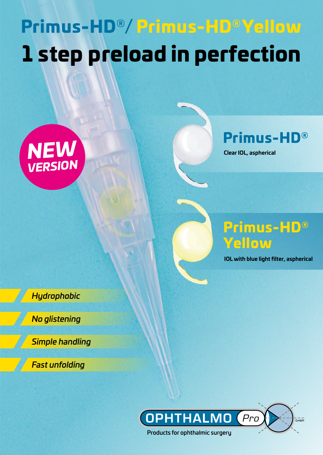# Primus-HD®/ Primus-HD® Yellow 1 step preload in perfection





**Clear IOL, aspherical**



**IOL with blue light filter, aspherical**

*Hydrophobic*

*No glistening*

*Simple handling*

*Fast unfolding*

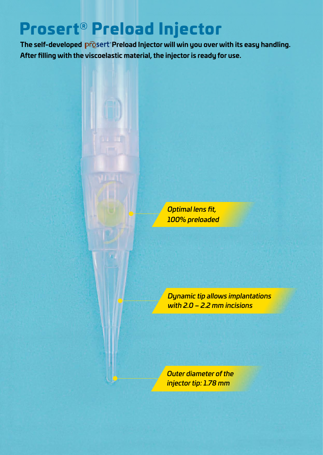### Prosert® Preload Injector

The self-developed prosert Preload Injector will win you over with its easy handling. **After filling with the viscoelastic material, the injector is ready for use.**

> *Optimal lens fit, 100% preloaded*

*Dynamic tip allows implantations with 2.0 – 2.2 mm incisions*

*Outer diameter of the injector tip: 1.78 mm*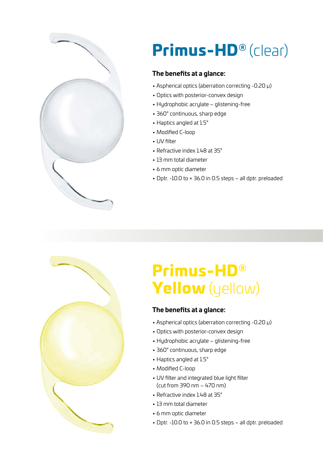

## Primus-HD® (clear)

#### **The benefits at a glance:**

- Aspherical optics (aberration correcting -0.20 µ)
- Optics with posterior-convex design
- Hydrophobic acrylate glistening-free
- 360° continuous, sharp edge
- Haptics angled at 1.5°
- Modified C-loop
- UV filter
- Refractive index 148 at 35°
- 13 mm total diameter
- 6 mm optic diameter
- Dptr. -10.0 to + 36.0 in 0.5 steps all dptr. preloaded



### Primus-HD® Yellow (yellow)

#### **The benefits at a glance:**

- Aspherical optics (aberration correcting -0.20 µ)
- Optics with posterior-convex design
- Hydrophobic acrylate glistening-free
- 360° continuous, sharp edge
- Haptics angled at 1.5°
- Modified C-loop
- UV filter and integrated blue light filter (cut from 390 nm – 470 nm)
- Refractive index 148 at 35°
- 13 mm total diameter
- 6 mm optic diameter
- Dptr. -10.0 to + 36.0 in 0.5 steps all dptr. preloaded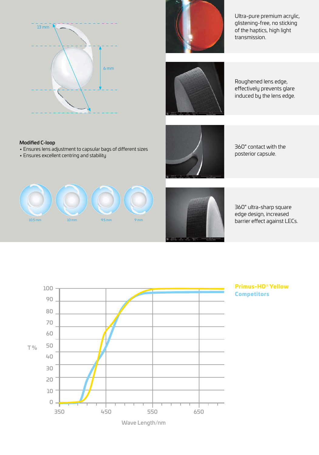

Modified C-loop



Ultra-pure premium acrylic, glistening-free, no sticking of the haptics, high light transmission.



Roughened lens edge, effectively prevents glare induced by the lens edge.

360° contact with the posterior capsule.



• Ensures lens adjustment to capsular bags of different sizes

• Ensures excellent centring and stability



360° ultra-sharp square edge design, increased barrier effect against LECs.



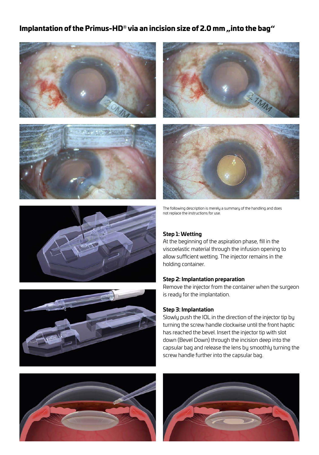#### Implantation of the Primus-HD® via an incision size of 2.0 mm "into the bag"















The following description is merely a summary of the handling and does not replace the instructions for use.

#### **Step 1: Wetting**

At the beginning of the aspiration phase, fill in the viscoelastic material through the infusion opening to allow sufficient wetting. The injector remains in the holding container.

#### **Step 2: Implantation preparation**

Remove the injector from the container when the surgeon is ready for the implantation.

#### **Step 3: Implantation**

Slowly push the IOL in the direction of the injector tip by turning the screw handle clockwise until the front haptic has reached the bevel. Insert the injector tip with slot down (Bevel Down) through the incision deep into the capsular bag and release the lens by smoothly turning the screw handle further into the capsular bag.